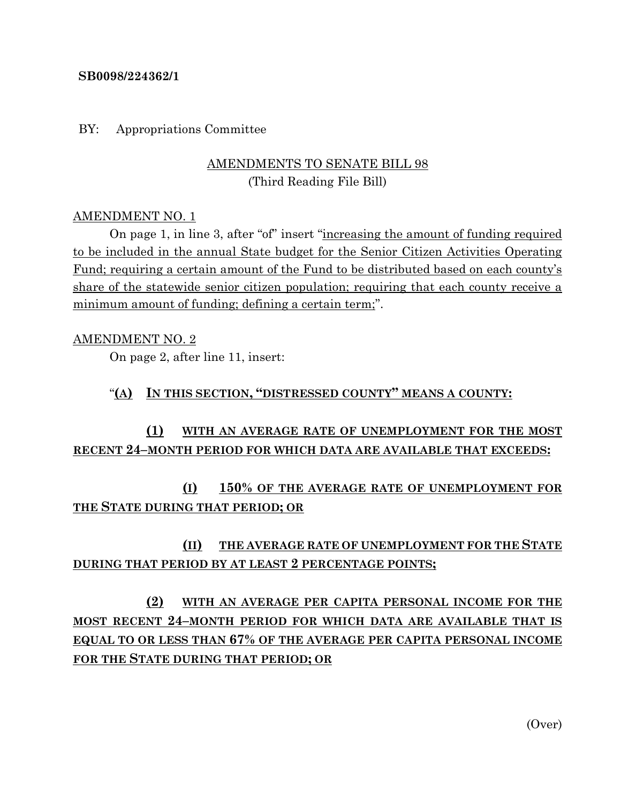#### **SB0098/224362/1**

BY: Appropriations Committee

### AMENDMENTS TO SENATE BILL 98 (Third Reading File Bill)

#### AMENDMENT NO. 1

On page 1, in line 3, after "of" insert "increasing the amount of funding required to be included in the annual State budget for the Senior Citizen Activities Operating Fund; requiring a certain amount of the Fund to be distributed based on each county's share of the statewide senior citizen population; requiring that each county receive a minimum amount of funding; defining a certain term;".

#### AMENDMENT NO. 2

On page 2, after line 11, insert:

#### "**(A) IN THIS SECTION, "DISTRESSED COUNTY" MEANS A COUNTY:**

## **(1) WITH AN AVERAGE RATE OF UNEMPLOYMENT FOR THE MOST RECENT 24–MONTH PERIOD FOR WHICH DATA ARE AVAILABLE THAT EXCEEDS:**

## **(I) 150% OF THE AVERAGE RATE OF UNEMPLOYMENT FOR THE STATE DURING THAT PERIOD; OR**

## **(II) THE AVERAGE RATE OF UNEMPLOYMENT FOR THE STATE DURING THAT PERIOD BY AT LEAST 2 PERCENTAGE POINTS;**

# **(2) WITH AN AVERAGE PER CAPITA PERSONAL INCOME FOR THE MOST RECENT 24–MONTH PERIOD FOR WHICH DATA ARE AVAILABLE THAT IS EQUAL TO OR LESS THAN 67% OF THE AVERAGE PER CAPITA PERSONAL INCOME FOR THE STATE DURING THAT PERIOD; OR**

(Over)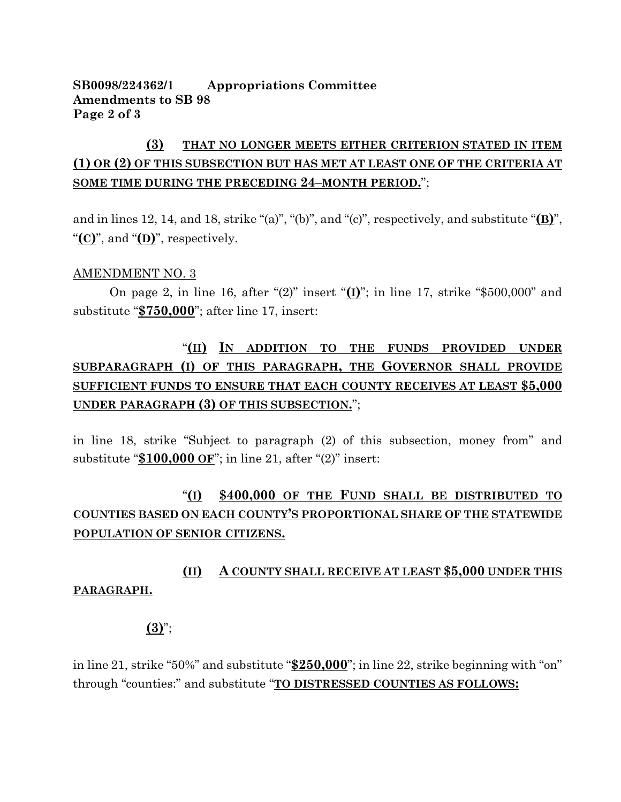#### **SB0098/224362/1 Appropriations Committee Amendments to SB 98 Page 2 of 3**

## **(3) THAT NO LONGER MEETS EITHER CRITERION STATED IN ITEM (1) OR (2) OF THIS SUBSECTION BUT HAS MET AT LEAST ONE OF THE CRITERIA AT SOME TIME DURING THE PRECEDING 24–MONTH PERIOD.**";

and in lines 12, 14, and 18, strike "(a)", "(b)", and "(c)", respectively, and substitute "**(B)**", "**(C)**", and "**(D)**", respectively.

#### AMENDMENT NO. 3

On page 2, in line 16, after "(2)" insert "**(I)**"; in line 17, strike "\$500,000" and substitute "**\$750,000**"; after line 17, insert:

# "**(II) IN ADDITION TO THE FUNDS PROVIDED UNDER SUBPARAGRAPH (I) OF THIS PARAGRAPH, THE GOVERNOR SHALL PROVIDE SUFFICIENT FUNDS TO ENSURE THAT EACH COUNTY RECEIVES AT LEAST \$5,000 UNDER PARAGRAPH (3) OF THIS SUBSECTION.**";

in line 18, strike "Subject to paragraph (2) of this subsection, money from" and substitute "**\$100,000 OF**"; in line 21, after "(2)" insert:

## "**(I) \$400,000 OF THE FUND SHALL BE DISTRIBUTED TO COUNTIES BASED ON EACH COUNTY'S PROPORTIONAL SHARE OF THE STATEWIDE POPULATION OF SENIOR CITIZENS.**

## **(II) A COUNTY SHALL RECEIVE AT LEAST \$5,000 UNDER THIS PARAGRAPH.**

#### **(3)**";

in line 21, strike "50%" and substitute "**\$250,000**"; in line 22, strike beginning with "on" through "counties:" and substitute "**TO DISTRESSED COUNTIES AS FOLLOWS:**